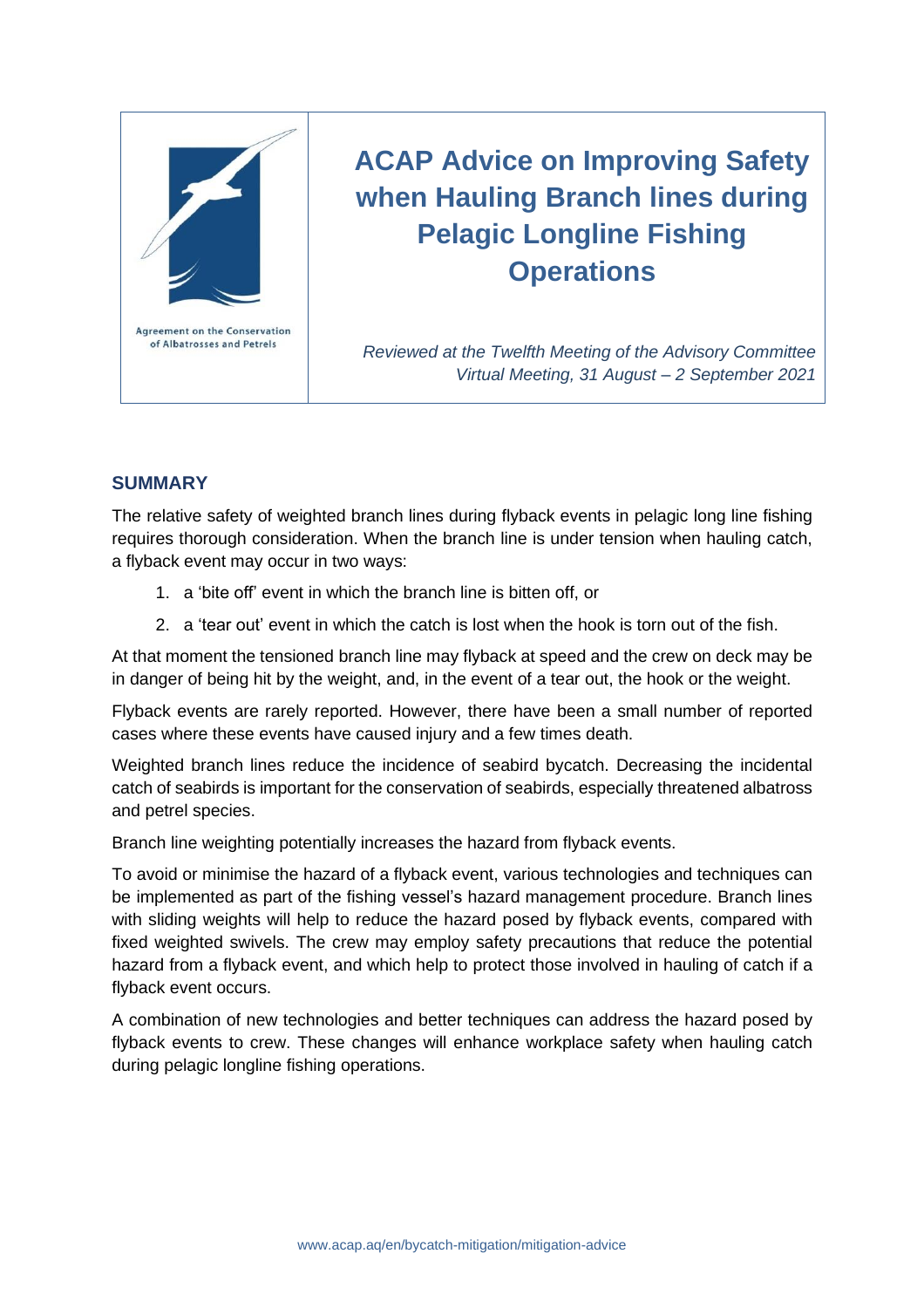

# **ACAP Advice on Improving Safety when Hauling Branch lines during Pelagic Longline Fishing Operations**

*Reviewed at the Twelfth Meeting of the Advisory Committee Virtual Meeting, 31 August – 2 September 2021*

## **SUMMARY**

The relative safety of weighted branch lines during flyback events in pelagic long line fishing requires thorough consideration. When the branch line is under tension when hauling catch, a flyback event may occur in two ways:

- 1. a 'bite off' event in which the branch line is bitten off, or
- 2. a 'tear out' event in which the catch is lost when the hook is torn out of the fish.

At that moment the tensioned branch line may flyback at speed and the crew on deck may be in danger of being hit by the weight, and, in the event of a tear out, the hook or the weight.

Flyback events are rarely reported. However, there have been a small number of reported cases where these events have caused injury and a few times death.

Weighted branch lines reduce the incidence of seabird bycatch. Decreasing the incidental catch of seabirds is important for the conservation of seabirds, especially threatened albatross and petrel species.

Branch line weighting potentially increases the hazard from flyback events.

To avoid or minimise the hazard of a flyback event, various technologies and techniques can be implemented as part of the fishing vessel's hazard management procedure. Branch lines with sliding weights will help to reduce the hazard posed by flyback events, compared with fixed weighted swivels. The crew may employ safety precautions that reduce the potential hazard from a flyback event, and which help to protect those involved in hauling of catch if a flyback event occurs.

A combination of new technologies and better techniques can address the hazard posed by flyback events to crew. These changes will enhance workplace safety when hauling catch during pelagic longline fishing operations.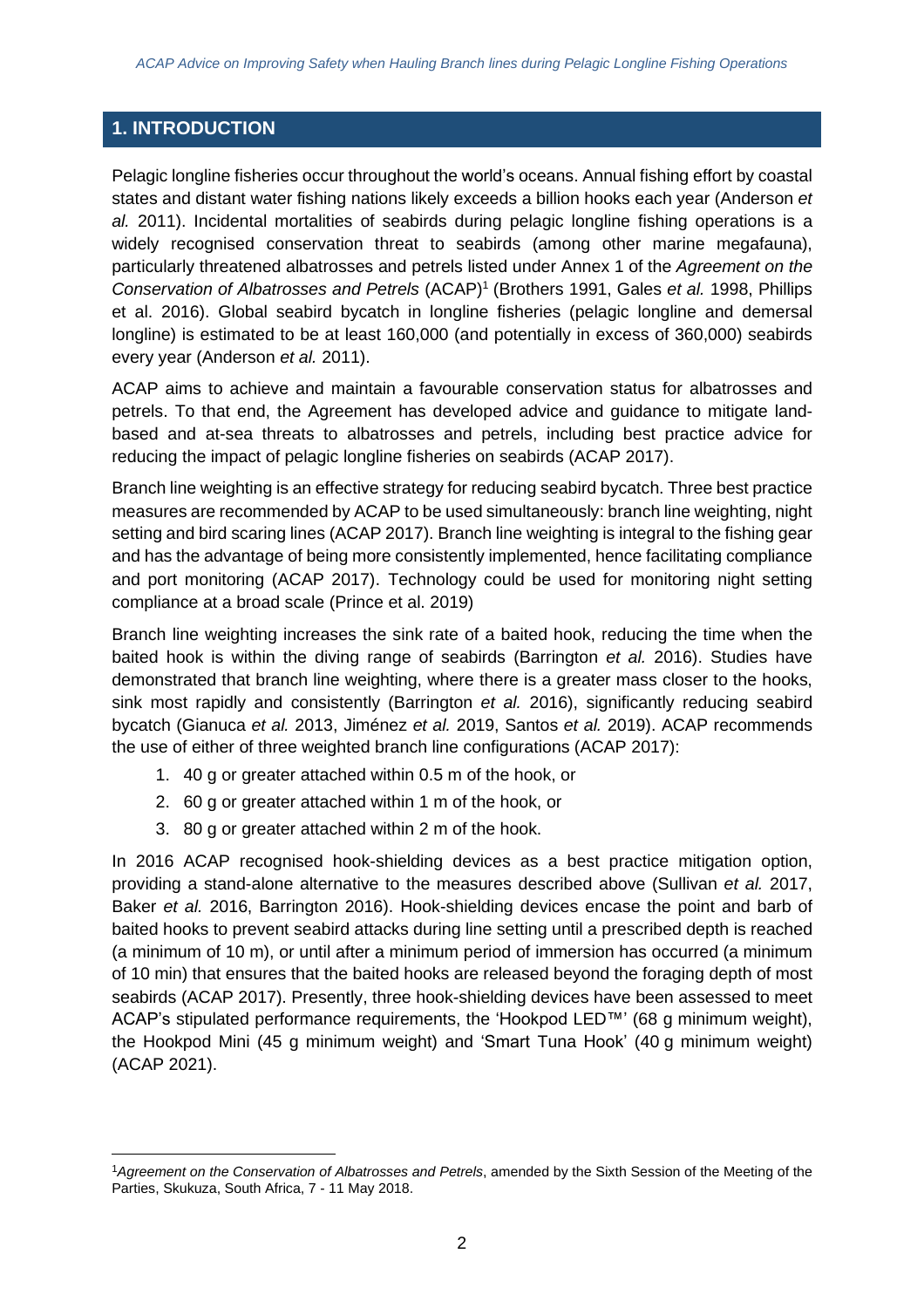# **1. INTRODUCTION**

Pelagic longline fisheries occur throughout the world's oceans. Annual fishing effort by coastal states and distant water fishing nations likely exceeds a billion hooks each year (Anderson *et al.* 2011). Incidental mortalities of seabirds during pelagic longline fishing operations is a widely recognised conservation threat to seabirds (among other marine megafauna), particularly threatened albatrosses and petrels listed under Annex 1 of the *Agreement on the Conservation of Albatrosses and Petrels* (ACAP)<sup>1</sup> (Brothers 1991, Gales *et al.* 1998, Phillips et al. 2016). Global seabird bycatch in longline fisheries (pelagic longline and demersal longline) is estimated to be at least 160,000 (and potentially in excess of 360,000) seabirds every year (Anderson *et al.* 2011).

ACAP aims to achieve and maintain a favourable conservation status for albatrosses and petrels. To that end, the Agreement has developed advice and guidance to mitigate landbased and at-sea threats to albatrosses and petrels, including best practice advice for reducing the impact of pelagic longline fisheries on seabirds (ACAP 2017).

Branch line weighting is an effective strategy for reducing seabird bycatch. Three best practice measures are recommended by ACAP to be used simultaneously: branch line weighting, night setting and bird scaring lines (ACAP 2017). Branch line weighting is integral to the fishing gear and has the advantage of being more consistently implemented, hence facilitating compliance and port monitoring (ACAP 2017). Technology could be used for monitoring night setting compliance at a broad scale (Prince et al. 2019)

Branch line weighting increases the sink rate of a baited hook, reducing the time when the baited hook is within the diving range of seabirds (Barrington *et al.* 2016). Studies have demonstrated that branch line weighting, where there is a greater mass closer to the hooks, sink most rapidly and consistently (Barrington *et al.* 2016), significantly reducing seabird bycatch (Gianuca *et al.* 2013, Jiménez *et al.* 2019, Santos *et al.* 2019). ACAP recommends the use of either of three weighted branch line configurations (ACAP 2017):

- 1. 40 g or greater attached within 0.5 m of the hook, or
- 2. 60 g or greater attached within 1 m of the hook, or
- 3. 80 g or greater attached within 2 m of the hook.

In 2016 ACAP recognised hook-shielding devices as a best practice mitigation option, providing a stand-alone alternative to the measures described above (Sullivan *et al.* 2017, Baker *et al.* 2016, Barrington 2016). Hook-shielding devices encase the point and barb of baited hooks to prevent seabird attacks during line setting until a prescribed depth is reached (a minimum of 10 m), or until after a minimum period of immersion has occurred (a minimum of 10 min) that ensures that the baited hooks are released beyond the foraging depth of most seabirds (ACAP 2017). Presently, three hook-shielding devices have been assessed to meet ACAP's stipulated performance requirements, the 'Hookpod LED™' (68 g minimum weight), the Hookpod Mini (45 g minimum weight) and 'Smart Tuna Hook' (40 g minimum weight) (ACAP 2021).

<sup>1</sup>*Agreement on the Conservation of Albatrosses and Petrels*, amended by the Sixth Session of the Meeting of the Parties, Skukuza, South Africa, 7 - 11 May 2018.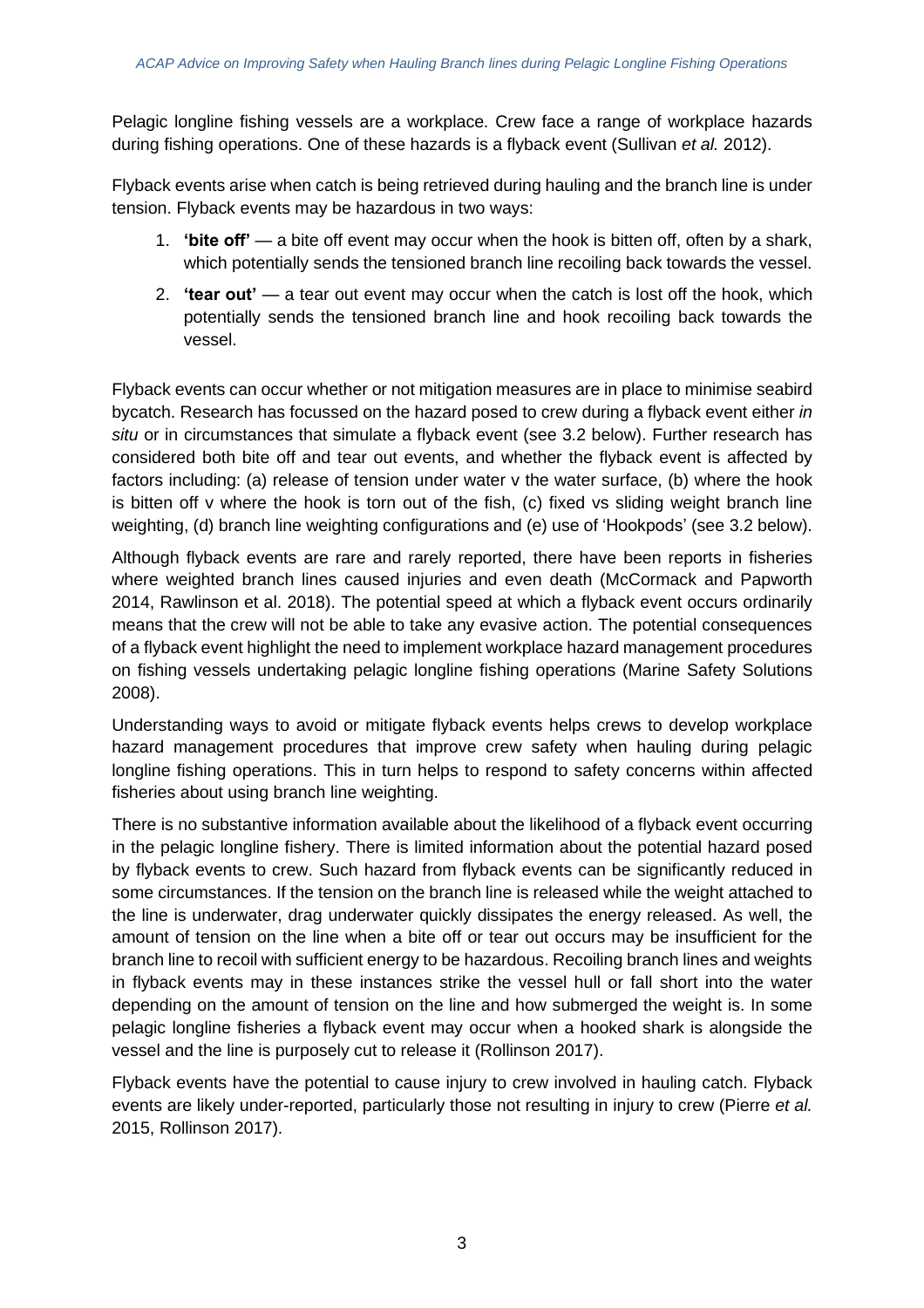Pelagic longline fishing vessels are a workplace. Crew face a range of workplace hazards during fishing operations. One of these hazards is a flyback event (Sullivan *et al.* 2012).

Flyback events arise when catch is being retrieved during hauling and the branch line is under tension. Flyback events may be hazardous in two ways:

- 1. **'bite off'** a bite off event may occur when the hook is bitten off, often by a shark, which potentially sends the tensioned branch line recoiling back towards the vessel.
- 2. **'tear out'** a tear out event may occur when the catch is lost off the hook, which potentially sends the tensioned branch line and hook recoiling back towards the vessel.

Flyback events can occur whether or not mitigation measures are in place to minimise seabird bycatch. Research has focussed on the hazard posed to crew during a flyback event either *in situ* or in circumstances that simulate a flyback event (see 3.2 below). Further research has considered both bite off and tear out events, and whether the flyback event is affected by factors including: (a) release of tension under water v the water surface, (b) where the hook is bitten off v where the hook is torn out of the fish, (c) fixed vs sliding weight branch line weighting, (d) branch line weighting configurations and (e) use of 'Hookpods' (see 3.2 below).

Although flyback events are rare and rarely reported, there have been reports in fisheries where weighted branch lines caused injuries and even death (McCormack and Papworth 2014, Rawlinson et al. 2018). The potential speed at which a flyback event occurs ordinarily means that the crew will not be able to take any evasive action. The potential consequences of a flyback event highlight the need to implement workplace hazard management procedures on fishing vessels undertaking pelagic longline fishing operations (Marine Safety Solutions 2008).

Understanding ways to avoid or mitigate flyback events helps crews to develop workplace hazard management procedures that improve crew safety when hauling during pelagic longline fishing operations. This in turn helps to respond to safety concerns within affected fisheries about using branch line weighting.

There is no substantive information available about the likelihood of a flyback event occurring in the pelagic longline fishery. There is limited information about the potential hazard posed by flyback events to crew. Such hazard from flyback events can be significantly reduced in some circumstances. If the tension on the branch line is released while the weight attached to the line is underwater, drag underwater quickly dissipates the energy released. As well, the amount of tension on the line when a bite off or tear out occurs may be insufficient for the branch line to recoil with sufficient energy to be hazardous. Recoiling branch lines and weights in flyback events may in these instances strike the vessel hull or fall short into the water depending on the amount of tension on the line and how submerged the weight is. In some pelagic longline fisheries a flyback event may occur when a hooked shark is alongside the vessel and the line is purposely cut to release it (Rollinson 2017).

Flyback events have the potential to cause injury to crew involved in hauling catch. Flyback events are likely under-reported, particularly those not resulting in injury to crew (Pierre *et al.* 2015, Rollinson 2017).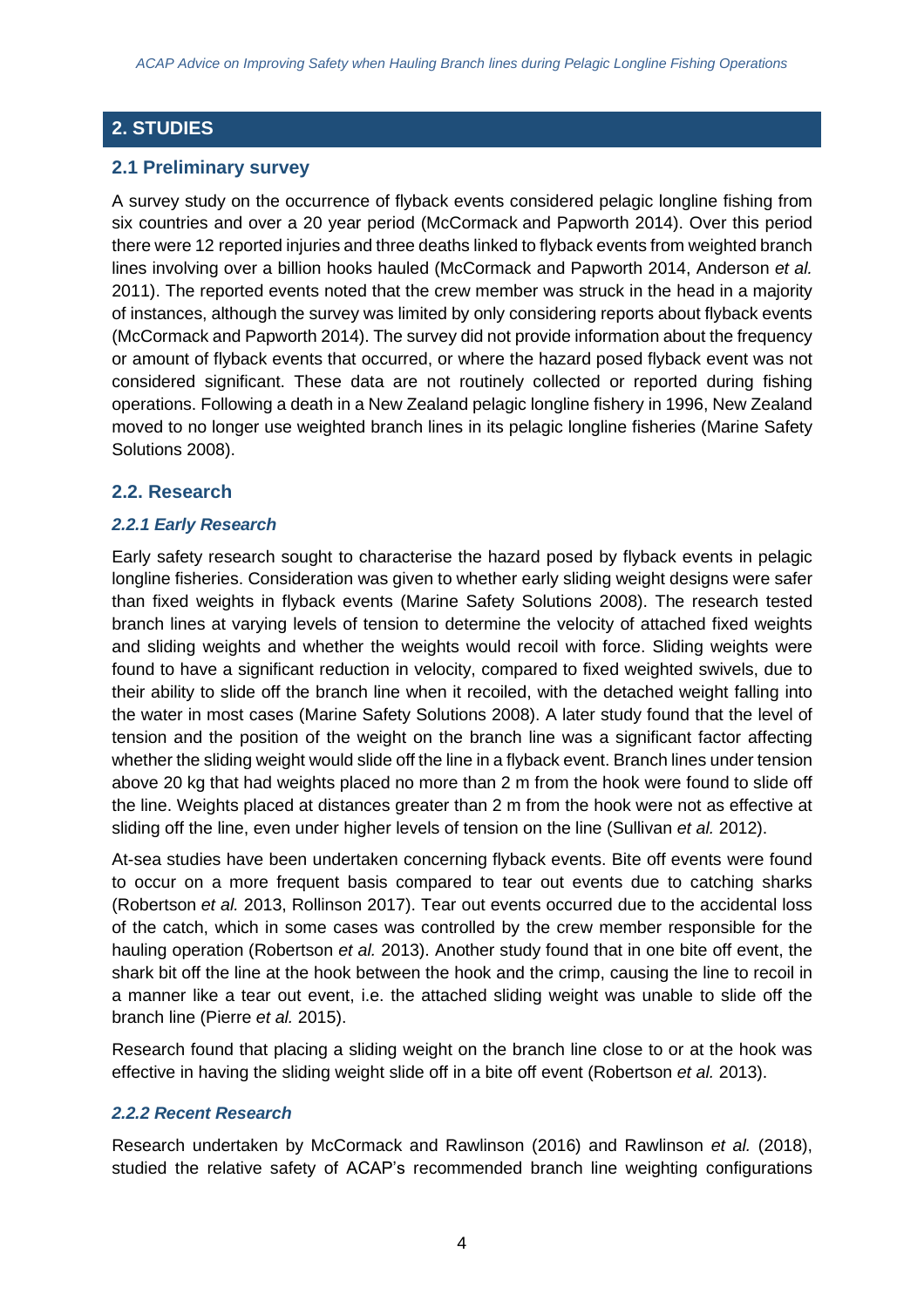# **2. STUDIES**

## **2.1 Preliminary survey**

A survey study on the occurrence of flyback events considered pelagic longline fishing from six countries and over a 20 year period (McCormack and Papworth 2014). Over this period there were 12 reported injuries and three deaths linked to flyback events from weighted branch lines involving over a billion hooks hauled (McCormack and Papworth 2014, Anderson *et al.* 2011). The reported events noted that the crew member was struck in the head in a majority of instances, although the survey was limited by only considering reports about flyback events (McCormack and Papworth 2014). The survey did not provide information about the frequency or amount of flyback events that occurred, or where the hazard posed flyback event was not considered significant. These data are not routinely collected or reported during fishing operations. Following a death in a New Zealand pelagic longline fishery in 1996, New Zealand moved to no longer use weighted branch lines in its pelagic longline fisheries (Marine Safety Solutions 2008).

#### **2.2. Research**

#### *2.2.1 Early Research*

Early safety research sought to characterise the hazard posed by flyback events in pelagic longline fisheries. Consideration was given to whether early sliding weight designs were safer than fixed weights in flyback events (Marine Safety Solutions 2008). The research tested branch lines at varying levels of tension to determine the velocity of attached fixed weights and sliding weights and whether the weights would recoil with force. Sliding weights were found to have a significant reduction in velocity, compared to fixed weighted swivels, due to their ability to slide off the branch line when it recoiled, with the detached weight falling into the water in most cases (Marine Safety Solutions 2008). A later study found that the level of tension and the position of the weight on the branch line was a significant factor affecting whether the sliding weight would slide off the line in a flyback event. Branch lines under tension above 20 kg that had weights placed no more than 2 m from the hook were found to slide off the line. Weights placed at distances greater than 2 m from the hook were not as effective at sliding off the line, even under higher levels of tension on the line (Sullivan *et al.* 2012).

At-sea studies have been undertaken concerning flyback events. Bite off events were found to occur on a more frequent basis compared to tear out events due to catching sharks (Robertson *et al.* 2013, Rollinson 2017). Tear out events occurred due to the accidental loss of the catch, which in some cases was controlled by the crew member responsible for the hauling operation (Robertson *et al.* 2013). Another study found that in one bite off event, the shark bit off the line at the hook between the hook and the crimp, causing the line to recoil in a manner like a tear out event, i.e. the attached sliding weight was unable to slide off the branch line (Pierre *et al.* 2015).

Research found that placing a sliding weight on the branch line close to or at the hook was effective in having the sliding weight slide off in a bite off event (Robertson *et al.* 2013).

#### *2.2.2 Recent Research*

Research undertaken by McCormack and Rawlinson (2016) and Rawlinson *et al.* (2018), studied the relative safety of ACAP's recommended branch line weighting configurations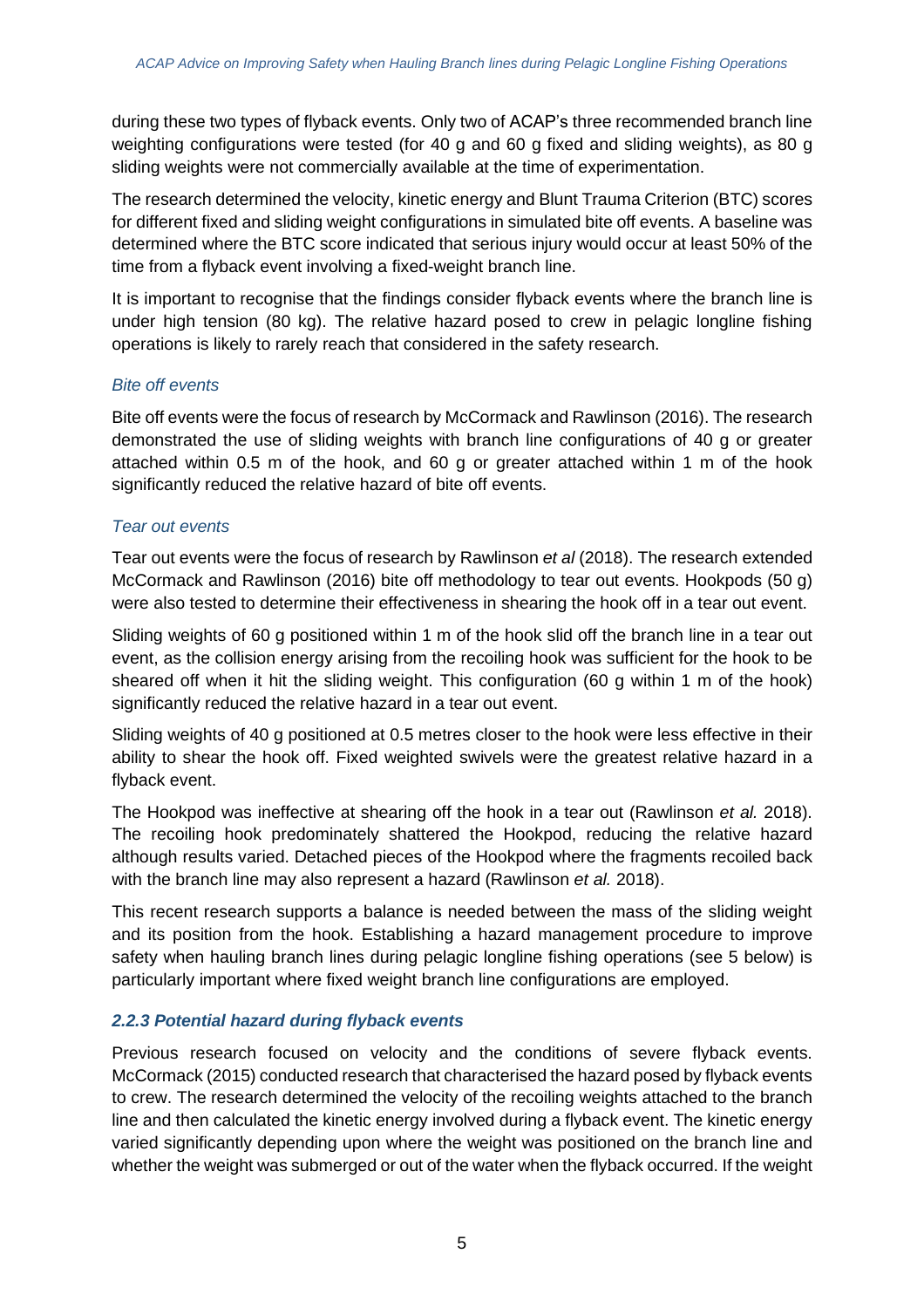during these two types of flyback events. Only two of ACAP's three recommended branch line weighting configurations were tested (for 40 g and 60 g fixed and sliding weights), as 80 g sliding weights were not commercially available at the time of experimentation.

The research determined the velocity, kinetic energy and Blunt Trauma Criterion (BTC) scores for different fixed and sliding weight configurations in simulated bite off events. A baseline was determined where the BTC score indicated that serious injury would occur at least 50% of the time from a flyback event involving a fixed-weight branch line.

It is important to recognise that the findings consider flyback events where the branch line is under high tension (80 kg). The relative hazard posed to crew in pelagic longline fishing operations is likely to rarely reach that considered in the safety research.

#### *Bite off events*

Bite off events were the focus of research by McCormack and Rawlinson (2016). The research demonstrated the use of sliding weights with branch line configurations of 40 g or greater attached within 0.5 m of the hook, and 60 g or greater attached within 1 m of the hook significantly reduced the relative hazard of bite off events.

#### *Tear out events*

Tear out events were the focus of research by Rawlinson *et al* (2018). The research extended McCormack and Rawlinson (2016) bite off methodology to tear out events. Hookpods (50 g) were also tested to determine their effectiveness in shearing the hook off in a tear out event.

Sliding weights of 60 g positioned within 1 m of the hook slid off the branch line in a tear out event, as the collision energy arising from the recoiling hook was sufficient for the hook to be sheared off when it hit the sliding weight. This configuration (60 g within 1 m of the hook) significantly reduced the relative hazard in a tear out event.

Sliding weights of 40 g positioned at 0.5 metres closer to the hook were less effective in their ability to shear the hook off. Fixed weighted swivels were the greatest relative hazard in a flyback event.

The Hookpod was ineffective at shearing off the hook in a tear out (Rawlinson *et al.* 2018). The recoiling hook predominately shattered the Hookpod, reducing the relative hazard although results varied. Detached pieces of the Hookpod where the fragments recoiled back with the branch line may also represent a hazard (Rawlinson *et al.* 2018).

This recent research supports a balance is needed between the mass of the sliding weight and its position from the hook. Establishing a hazard management procedure to improve safety when hauling branch lines during pelagic longline fishing operations (see 5 below) is particularly important where fixed weight branch line configurations are employed.

## *2.2.3 Potential hazard during flyback events*

Previous research focused on velocity and the conditions of severe flyback events. McCormack (2015) conducted research that characterised the hazard posed by flyback events to crew. The research determined the velocity of the recoiling weights attached to the branch line and then calculated the kinetic energy involved during a flyback event. The kinetic energy varied significantly depending upon where the weight was positioned on the branch line and whether the weight was submerged or out of the water when the flyback occurred. If the weight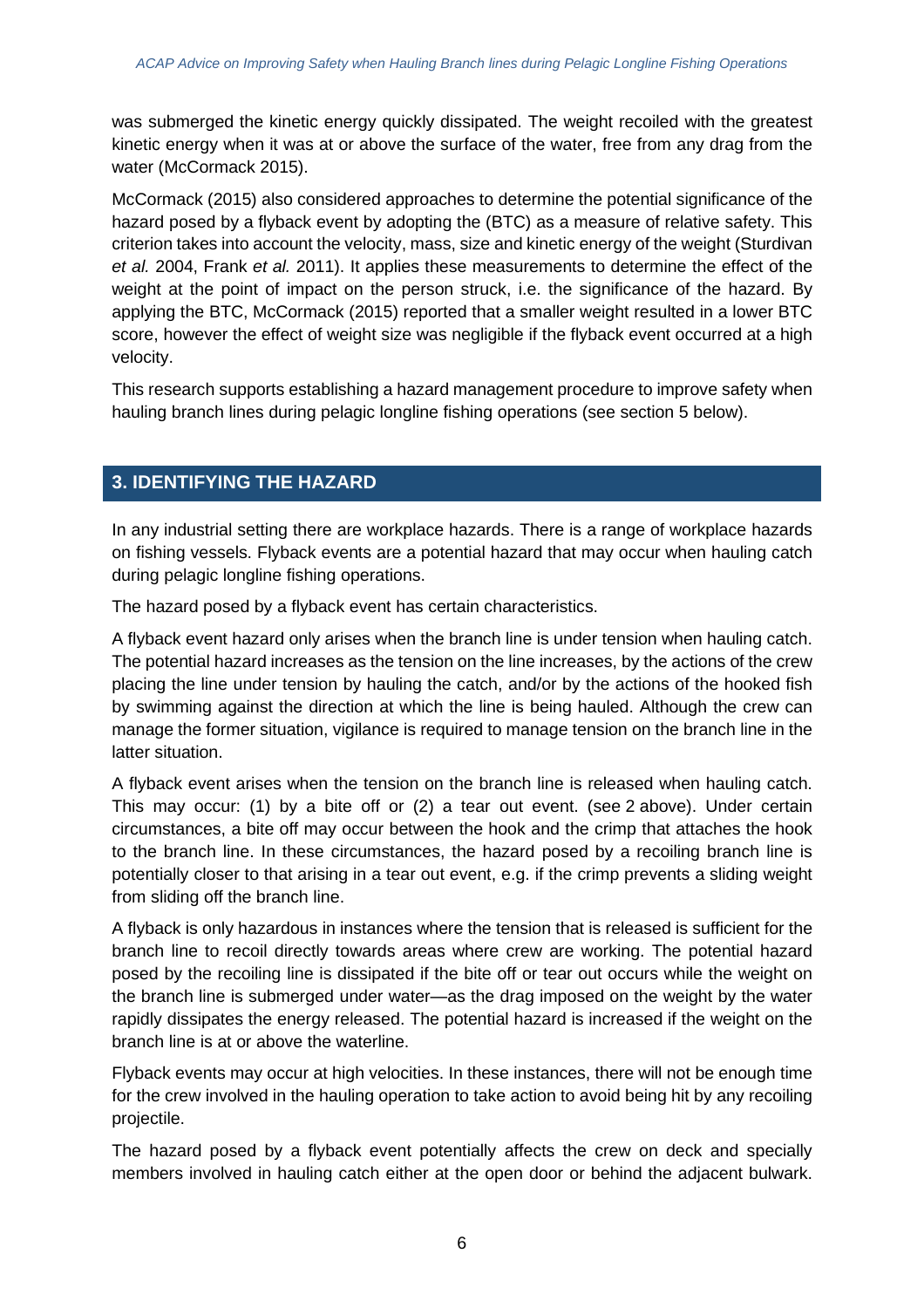was submerged the kinetic energy quickly dissipated. The weight recoiled with the greatest kinetic energy when it was at or above the surface of the water, free from any drag from the water (McCormack 2015).

McCormack (2015) also considered approaches to determine the potential significance of the hazard posed by a flyback event by adopting the (BTC) as a measure of relative safety. This criterion takes into account the velocity, mass, size and kinetic energy of the weight (Sturdivan *et al.* 2004, Frank *et al.* 2011). It applies these measurements to determine the effect of the weight at the point of impact on the person struck, i.e. the significance of the hazard. By applying the BTC, McCormack (2015) reported that a smaller weight resulted in a lower BTC score, however the effect of weight size was negligible if the flyback event occurred at a high velocity.

This research supports establishing a hazard management procedure to improve safety when hauling branch lines during pelagic longline fishing operations (see section 5 below).

# **3. IDENTIFYING THE HAZARD**

In any industrial setting there are workplace hazards. There is a range of workplace hazards on fishing vessels. Flyback events are a potential hazard that may occur when hauling catch during pelagic longline fishing operations.

The hazard posed by a flyback event has certain characteristics.

A flyback event hazard only arises when the branch line is under tension when hauling catch. The potential hazard increases as the tension on the line increases, by the actions of the crew placing the line under tension by hauling the catch, and/or by the actions of the hooked fish by swimming against the direction at which the line is being hauled. Although the crew can manage the former situation, vigilance is required to manage tension on the branch line in the latter situation.

A flyback event arises when the tension on the branch line is released when hauling catch. This may occur: (1) by a bite off or (2) a tear out event. (see 2 above). Under certain circumstances, a bite off may occur between the hook and the crimp that attaches the hook to the branch line. In these circumstances, the hazard posed by a recoiling branch line is potentially closer to that arising in a tear out event, e.g. if the crimp prevents a sliding weight from sliding off the branch line.

A flyback is only hazardous in instances where the tension that is released is sufficient for the branch line to recoil directly towards areas where crew are working. The potential hazard posed by the recoiling line is dissipated if the bite off or tear out occurs while the weight on the branch line is submerged under water—as the drag imposed on the weight by the water rapidly dissipates the energy released. The potential hazard is increased if the weight on the branch line is at or above the waterline.

Flyback events may occur at high velocities. In these instances, there will not be enough time for the crew involved in the hauling operation to take action to avoid being hit by any recoiling projectile.

The hazard posed by a flyback event potentially affects the crew on deck and specially members involved in hauling catch either at the open door or behind the adjacent bulwark.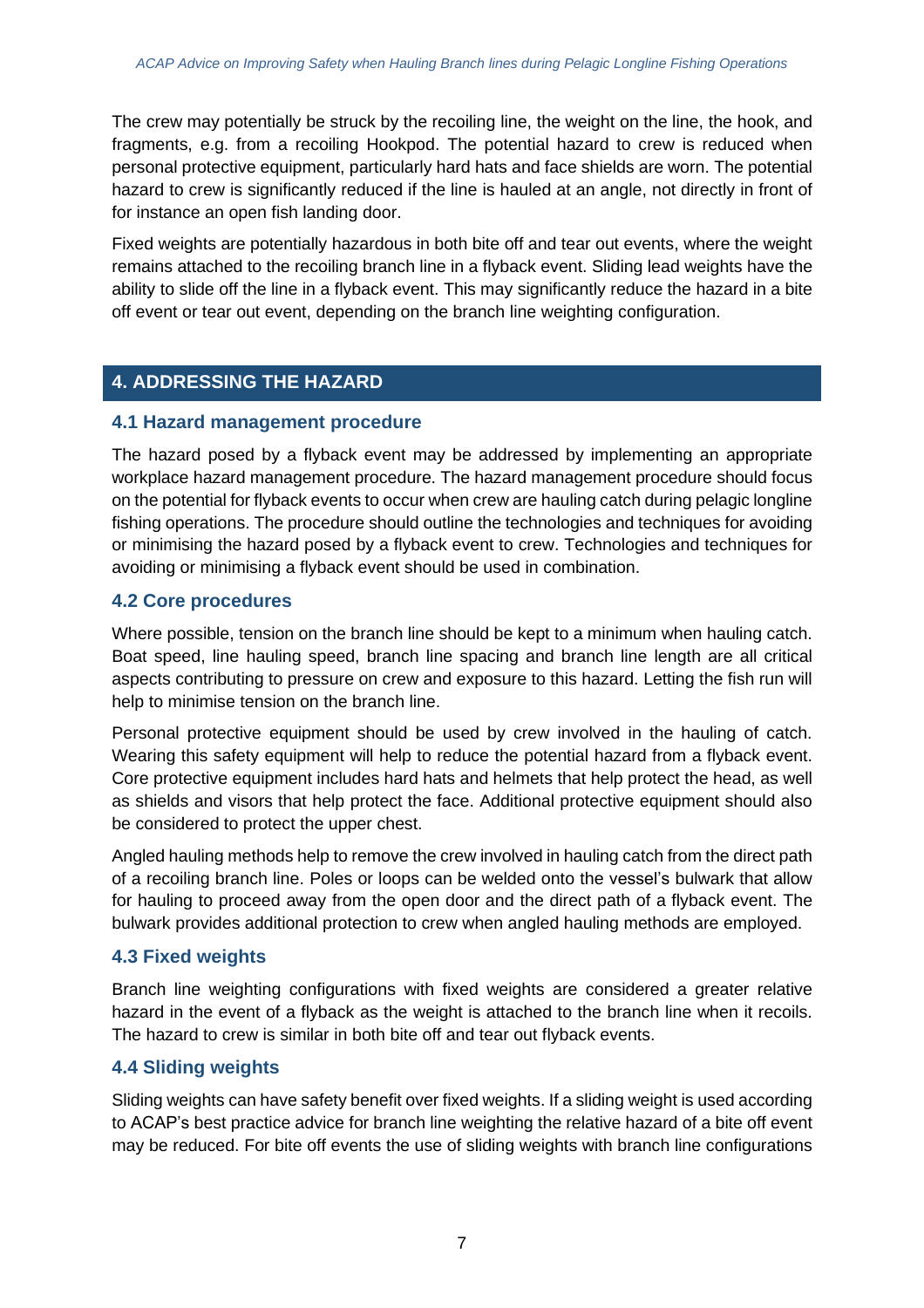The crew may potentially be struck by the recoiling line, the weight on the line, the hook, and fragments, e.g. from a recoiling Hookpod. The potential hazard to crew is reduced when personal protective equipment, particularly hard hats and face shields are worn. The potential hazard to crew is significantly reduced if the line is hauled at an angle, not directly in front of for instance an open fish landing door.

Fixed weights are potentially hazardous in both bite off and tear out events, where the weight remains attached to the recoiling branch line in a flyback event. Sliding lead weights have the ability to slide off the line in a flyback event. This may significantly reduce the hazard in a bite off event or tear out event, depending on the branch line weighting configuration.

# **4. ADDRESSING THE HAZARD**

# **4.1 Hazard management procedure**

The hazard posed by a flyback event may be addressed by implementing an appropriate workplace hazard management procedure. The hazard management procedure should focus on the potential for flyback events to occur when crew are hauling catch during pelagic longline fishing operations. The procedure should outline the technologies and techniques for avoiding or minimising the hazard posed by a flyback event to crew. Technologies and techniques for avoiding or minimising a flyback event should be used in combination.

# **4.2 Core procedures**

Where possible, tension on the branch line should be kept to a minimum when hauling catch. Boat speed, line hauling speed, branch line spacing and branch line length are all critical aspects contributing to pressure on crew and exposure to this hazard. Letting the fish run will help to minimise tension on the branch line.

Personal protective equipment should be used by crew involved in the hauling of catch. Wearing this safety equipment will help to reduce the potential hazard from a flyback event. Core protective equipment includes hard hats and helmets that help protect the head, as well as shields and visors that help protect the face. Additional protective equipment should also be considered to protect the upper chest.

Angled hauling methods help to remove the crew involved in hauling catch from the direct path of a recoiling branch line. Poles or loops can be welded onto the vessel's bulwark that allow for hauling to proceed away from the open door and the direct path of a flyback event. The bulwark provides additional protection to crew when angled hauling methods are employed.

# **4.3 Fixed weights**

Branch line weighting configurations with fixed weights are considered a greater relative hazard in the event of a flyback as the weight is attached to the branch line when it recoils. The hazard to crew is similar in both bite off and tear out flyback events.

# **4.4 Sliding weights**

Sliding weights can have safety benefit over fixed weights. If a sliding weight is used according to ACAP's best practice advice for branch line weighting the relative hazard of a bite off event may be reduced. For bite off events the use of sliding weights with branch line configurations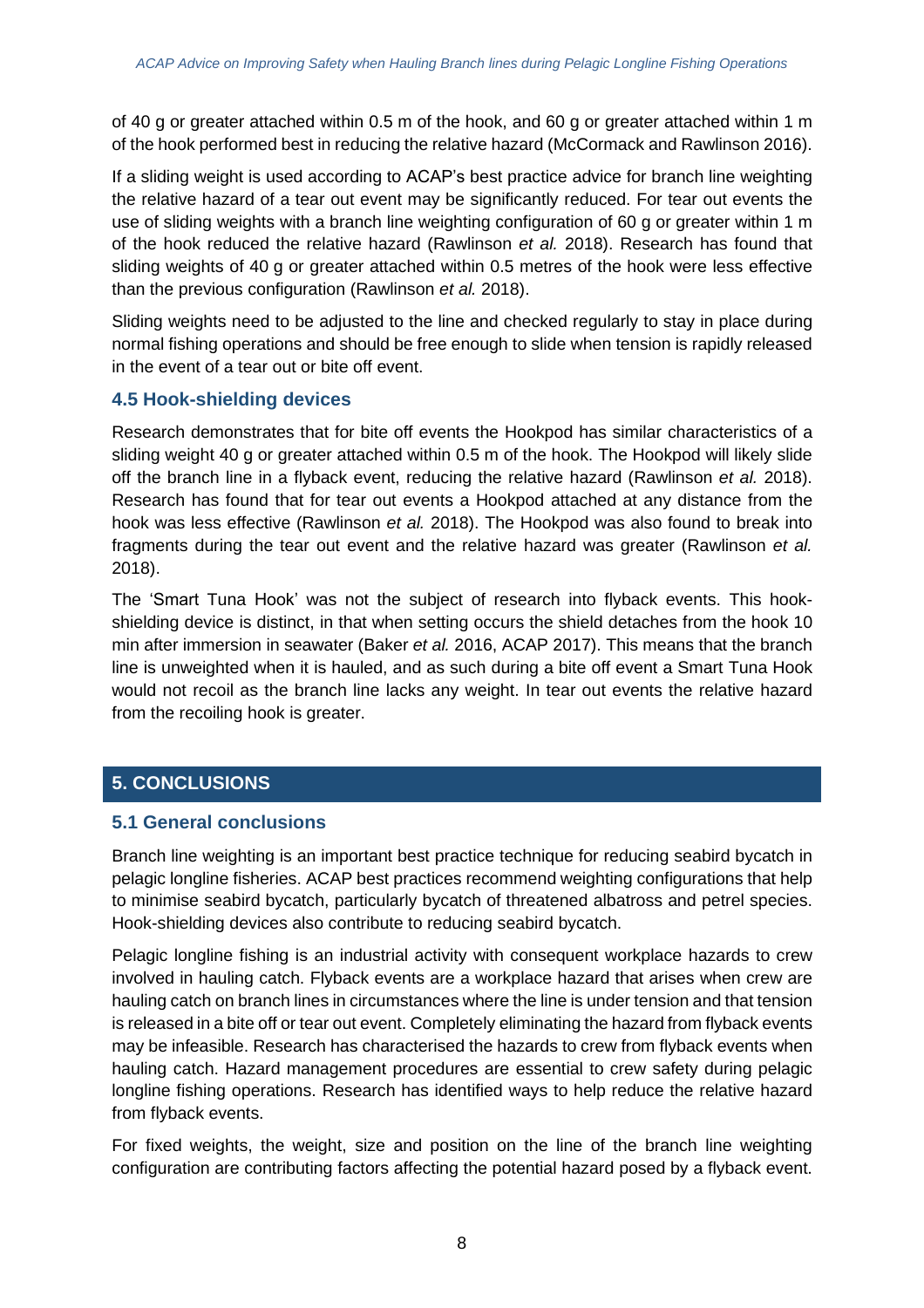of 40 g or greater attached within 0.5 m of the hook, and 60 g or greater attached within 1 m of the hook performed best in reducing the relative hazard (McCormack and Rawlinson 2016).

If a sliding weight is used according to ACAP's best practice advice for branch line weighting the relative hazard of a tear out event may be significantly reduced. For tear out events the use of sliding weights with a branch line weighting configuration of 60 g or greater within 1 m of the hook reduced the relative hazard (Rawlinson *et al.* 2018). Research has found that sliding weights of 40 g or greater attached within 0.5 metres of the hook were less effective than the previous configuration (Rawlinson *et al.* 2018).

Sliding weights need to be adjusted to the line and checked regularly to stay in place during normal fishing operations and should be free enough to slide when tension is rapidly released in the event of a tear out or bite off event.

## **4.5 Hook-shielding devices**

Research demonstrates that for bite off events the Hookpod has similar characteristics of a sliding weight 40 g or greater attached within 0.5 m of the hook. The Hookpod will likely slide off the branch line in a flyback event, reducing the relative hazard (Rawlinson *et al.* 2018). Research has found that for tear out events a Hookpod attached at any distance from the hook was less effective (Rawlinson *et al.* 2018). The Hookpod was also found to break into fragments during the tear out event and the relative hazard was greater (Rawlinson *et al.* 2018).

The 'Smart Tuna Hook' was not the subject of research into flyback events. This hookshielding device is distinct, in that when setting occurs the shield detaches from the hook 10 min after immersion in seawater (Baker *et al.* 2016, ACAP 2017). This means that the branch line is unweighted when it is hauled, and as such during a bite off event a Smart Tuna Hook would not recoil as the branch line lacks any weight. In tear out events the relative hazard from the recoiling hook is greater.

## **5. CONCLUSIONS**

## **5.1 General conclusions**

Branch line weighting is an important best practice technique for reducing seabird bycatch in pelagic longline fisheries. ACAP best practices recommend weighting configurations that help to minimise seabird bycatch, particularly bycatch of threatened albatross and petrel species. Hook-shielding devices also contribute to reducing seabird bycatch.

Pelagic longline fishing is an industrial activity with consequent workplace hazards to crew involved in hauling catch. Flyback events are a workplace hazard that arises when crew are hauling catch on branch lines in circumstances where the line is under tension and that tension is released in a bite off or tear out event. Completely eliminating the hazard from flyback events may be infeasible. Research has characterised the hazards to crew from flyback events when hauling catch. Hazard management procedures are essential to crew safety during pelagic longline fishing operations. Research has identified ways to help reduce the relative hazard from flyback events.

For fixed weights, the weight, size and position on the line of the branch line weighting configuration are contributing factors affecting the potential hazard posed by a flyback event.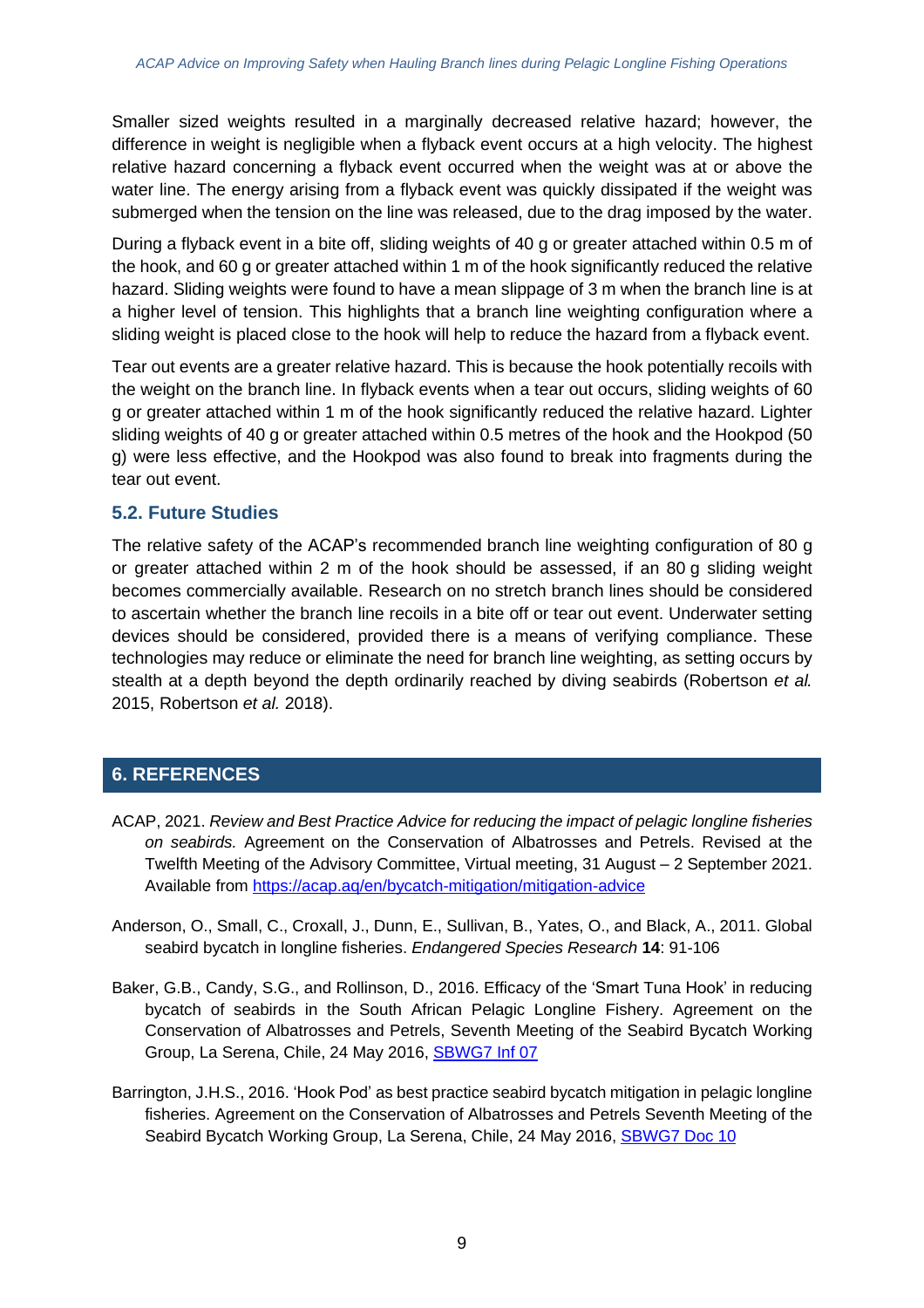Smaller sized weights resulted in a marginally decreased relative hazard; however, the difference in weight is negligible when a flyback event occurs at a high velocity. The highest relative hazard concerning a flyback event occurred when the weight was at or above the water line. The energy arising from a flyback event was quickly dissipated if the weight was submerged when the tension on the line was released, due to the drag imposed by the water.

During a flyback event in a bite off, sliding weights of 40 g or greater attached within 0.5 m of the hook, and 60 g or greater attached within 1 m of the hook significantly reduced the relative hazard. Sliding weights were found to have a mean slippage of 3 m when the branch line is at a higher level of tension. This highlights that a branch line weighting configuration where a sliding weight is placed close to the hook will help to reduce the hazard from a flyback event.

Tear out events are a greater relative hazard. This is because the hook potentially recoils with the weight on the branch line. In flyback events when a tear out occurs, sliding weights of 60 g or greater attached within 1 m of the hook significantly reduced the relative hazard. Lighter sliding weights of 40 g or greater attached within 0.5 metres of the hook and the Hookpod (50 g) were less effective, and the Hookpod was also found to break into fragments during the tear out event.

## **5.2. Future Studies**

The relative safety of the ACAP's recommended branch line weighting configuration of 80 g or greater attached within 2 m of the hook should be assessed, if an 80 g sliding weight becomes commercially available. Research on no stretch branch lines should be considered to ascertain whether the branch line recoils in a bite off or tear out event. Underwater setting devices should be considered, provided there is a means of verifying compliance. These technologies may reduce or eliminate the need for branch line weighting, as setting occurs by stealth at a depth beyond the depth ordinarily reached by diving seabirds (Robertson *et al.* 2015, Robertson *et al.* 2018).

# **6. REFERENCES**

- ACAP, 2021. *Review and Best Practice Advice for reducing the impact of pelagic longline fisheries on seabirds.* Agreement on the Conservation of Albatrosses and Petrels. Revised at the Twelfth Meeting of the Advisory Committee, Virtual meeting, 31 August – 2 September 2021. Available from <https://acap.aq/en/bycatch-mitigation/mitigation-advice>
- Anderson, O., Small, C., Croxall, J., Dunn, E., Sullivan, B., Yates, O., and Black, A., 2011. Global seabird bycatch in longline fisheries. *Endangered Species Research* **14**: 91-106
- Baker, G.B., Candy, S.G., and Rollinson, D., 2016. Efficacy of the 'Smart Tuna Hook' in reducing bycatch of seabirds in the South African Pelagic Longline Fishery. Agreement on the Conservation of Albatrosses and Petrels, Seventh Meeting of the Seabird Bycatch Working Group, La Serena, Chile, 24 May 2016, **[SBWG7](https://acap.aq/en/working-groups/seabird-bycatch-working-group/seabird-bycatch-wg-meeting-7/sbwg7-information-papers/2719-sbwg7-inf-07-efficacy-of-the-smart-tuna-hook-in-reducing-bycatch-of-seabirds-in-the-south-african-pelagic-longline-fishery/file) Inf 07**
- Barrington, J.H.S., 2016. 'Hook Pod' as best practice seabird bycatch mitigation in pelagic longline fisheries. Agreement on the Conservation of Albatrosses and Petrels Seventh Meeting of the Seabird Bycatch Working Group, La Serena, Chile, 24 May 2016, [SBWG7](https://www.acap.aq/en/working-groups/seabird-bycatch-working-group/seabird-bycatch-wg-meeting-7/sbwg7-meeting-documents/2691-sbwg7-doc-10-hook-pod-as-best-practice-seabird-bycatch-mitigation-in-pelagic-longline-fisheries/file) Doc 10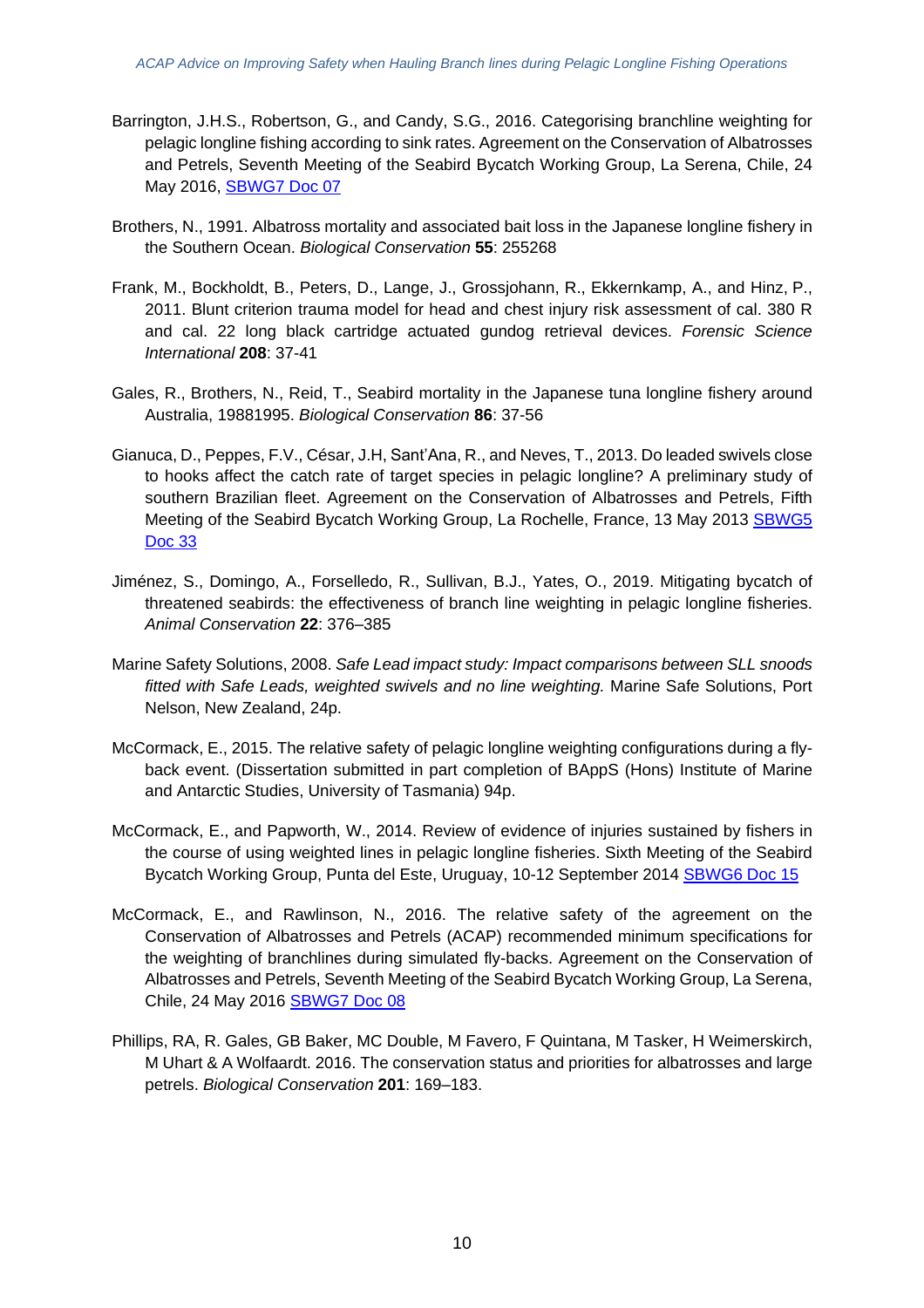- Barrington, J.H.S., Robertson, G., and Candy, S.G., 2016. Categorising branchline weighting for pelagic longline fishing according to sink rates. Agreement on the Conservation of Albatrosses and Petrels, Seventh Meeting of the Seabird Bycatch Working Group, La Serena, Chile, 24 May 2016, [SBWG7](https://www.acap.aq/en/working-groups/seabird-bycatch-working-group/seabird-bycatch-wg-meeting-7/sbwg7-meeting-documents/2686-sbwg7-doc-07-categorising-branch-line-weighting-for-pelagic-longline-fishing-according-to-sink-rates/file) Doc 07
- Brothers, N., 1991. Albatross mortality and associated bait loss in the Japanese longline fishery in the Southern Ocean. *Biological Conservation* **55**: 255268
- Frank, M., Bockholdt, B., Peters, D., Lange, J., Grossjohann, R., Ekkernkamp, A., and Hinz, P., 2011. Blunt criterion trauma model for head and chest injury risk assessment of cal. 380 R and cal. 22 long black cartridge actuated gundog retrieval devices. *Forensic Science International* **208**: 37-41
- Gales, R., Brothers, N., Reid, T., Seabird mortality in the Japanese tuna longline fishery around Australia, 19881995. *Biological Conservation* **86**: 37-56
- Gianuca, D., Peppes, F.V., César, J.H, Sant'Ana, R., and Neves, T., 2013. Do leaded swivels close to hooks affect the catch rate of target species in pelagic longline? A preliminary study of southern Brazilian fleet. Agreement on the Conservation of Albatrosses and Petrels, Fifth Meeting of the Seabird Bycatch Working Group, La Rochelle, France, 13 May 2013 [SBWG5](https://acap.aq/en/working-groups/seabird-bycatch-working-group/seabird-bycatch-wg-meeting-5/2055-sbwg5-doc-33-do-leaded-swivels-close-to-hooks-affect-the-catch-rate-of-target-species-in-pelagic-longline/file) [Doc](https://acap.aq/en/working-groups/seabird-bycatch-working-group/seabird-bycatch-wg-meeting-5/2055-sbwg5-doc-33-do-leaded-swivels-close-to-hooks-affect-the-catch-rate-of-target-species-in-pelagic-longline/file) 33
- Jiménez, S., Domingo, A., Forselledo, R., Sullivan, B.J., Yates, O., 2019. Mitigating bycatch of threatened seabirds: the effectiveness of branch line weighting in pelagic longline fisheries. *Animal Conservation* **22**: 376–385
- Marine Safety Solutions, 2008. *Safe Lead impact study: Impact comparisons between SLL snoods fitted with Safe Leads, weighted swivels and no line weighting.* Marine Safe Solutions, Port Nelson, New Zealand, 24p.
- McCormack, E., 2015. The relative safety of pelagic longline weighting configurations during a flyback event. (Dissertation submitted in part completion of BAppS (Hons) Institute of Marine and Antarctic Studies, University of Tasmania) 94p.
- McCormack, E., and Papworth, W., 2014. Review of evidence of injuries sustained by fishers in the course of using weighted lines in pelagic longline fisheries. Sixth Meeting of the Seabird Bycatch Working Group, Punta del Este, Uruguay, 10-12 September 2014 [SBWG6](https://www.acap.aq/en/working-groups/seabird-bycatch-working-group/seabird-bycatch-wg-meeting-6/sbwg6-meeting-documents/2262-sbwg6-doc-15-review-of-evidence-of-injuries-sustained-by-fishers-in-the-course-of-using-weighted-lines-in-pelagic-longline-fisheries-summary-only/file) Doc 15
- McCormack, E., and Rawlinson, N., 2016. The relative safety of the agreement on the Conservation of Albatrosses and Petrels (ACAP) recommended minimum specifications for the weighting of branchlines during simulated fly-backs. Agreement on the Conservation of Albatrosses and Petrels, Seventh Meeting of the Seabird Bycatch Working Group, La Serena, Chile, 24 May 2016 [SBWG7](https://www.acap.aq/en/working-groups/seabird-bycatch-working-group/seabird-bycatch-wg-meeting-7/sbwg7-meeting-documents/2687-sbwg7-doc-08-the-relative-safety-of-the-agreement-on-the-conservation-of-albatrosses-and-petrels-acap-recommended-minimum-specifications-for-the-weighting-of-branchlines-during-simulated-fly-backs-summary-only/file) Doc 08
- Phillips, RA, R. Gales, GB Baker, MC Double, M Favero, F Quintana, M Tasker, H Weimerskirch, M Uhart & A Wolfaardt. 2016. The conservation status and priorities for albatrosses and large petrels. *Biological Conservation* **201**: 169–183.